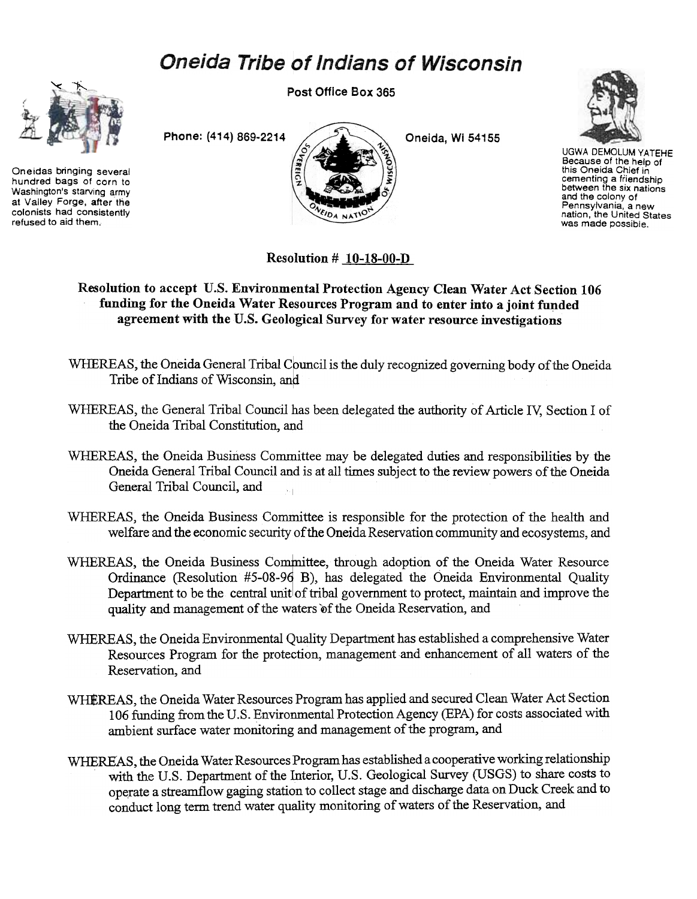## **Oneida Tribe of Indians of Wisconsin**



Oneidas bringing several hundred bags of corn to Washington's starving army at Valley Forge, after the colonists had consistently refused to aid them..

Post Office Box 365





UGWA DEMOlUM YATEHE Because of the help of this Oneida Chief in cementing a friendship<br>between the six nation and the colony of Pennsylvania. a new nation, the United States was made possible.

Resolution  $# 10-18-00-D$ 

Resolution to accept U.S. Environmental Protection Agency Clean Water Act Section 106 funding for the Oneida Water Resources Program and to enter into a joint funded agreement with the U.S. Geological Survey for water resource investigations

- WHEREAS, the Oneida General Tribal Council is the duly recognized governing body of the Oneida Tribe of Indians of Wisconsin, and
- WHEREAS, the General Tribal Council has been delegated the authority of Article IV; Section I of the Oneida Tribal Constitution, and
- WHEREAS, the Oneida Business Committee may be delegated duties and responsibilities by the Oneida General Tribal Council and is at all times subject to the review powers of the Oneida General Tribal Council, and
- WHEREAS, the Oneida Business Committee is responsible for the protection of the health and welfare and the economic security of the Oneida Reservation community and ecosystems, and
- welfare and the economic security of the Oneida Reservation community and ecosystems, and<br>WHEREAS, the Oneida Business Committee, through adoption of the Oneida Water Resource Ordinance (Resolution  $#5-08-96$  B), has delegated the Oneida Environmental Quality Department to be the central unit of tribal government to protect, maintain and improve the quality and management of the waters of the Oneida Reservation, and
- WHEREAS, the Oneida Environmental Quality Department has established a comprehensive Water Resources Program for the protection, management and enhancement of all waters of the Reservation, and
- WHEREAS, the Oneida Water Resources Program has applied and secured Clean Water Act Section 106 funding from the U.S. Environmental Protection Agency (EPA) for costs associated with ambient surface water monitoring and management of the program, and
- WHEREAS, the Oneida Water Resources Program has established a cooperative working relationship with the U.S. Department of the Interior, U.S. Geological Survey (USGS) to share costs to operate a streamflow gaging station to collect stage and discharge data on Duck Creek and to conduct long term trend water quality monitoring of waters of the Reservation, and